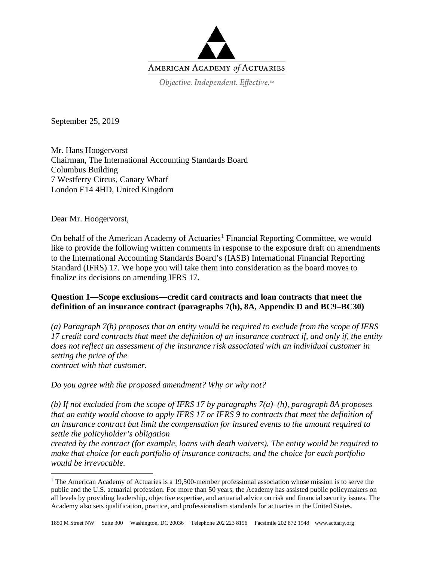

September 25, 2019

Mr. Hans Hoogervorst Chairman, The International Accounting Standards Board Columbus Building 7 Westferry Circus, Canary Wharf London E14 4HD, United Kingdom

Dear Mr. Hoogervorst,

On behalf of the American Academy of Actuaries<sup>[1](#page-0-0)</sup> Financial Reporting Committee, we would like to provide the following written comments in response to the exposure draft on amendments to the International Accounting Standards Board's (IASB) International Financial Reporting Standard (IFRS) 17. We hope you will take them into consideration as the board moves to finalize its decisions on amending IFRS 17**.**

# **Question 1—Scope exclusions—credit card contracts and loan contracts that meet the definition of an insurance contract (paragraphs 7(h), 8A, Appendix D and BC9–BC30)**

*(a) Paragraph 7(h) proposes that an entity would be required to exclude from the scope of IFRS 17 credit card contracts that meet the definition of an insurance contract if, and only if, the entity does not reflect an assessment of the insurance risk associated with an individual customer in setting the price of the contract with that customer.*

*Do you agree with the proposed amendment? Why or why not?*

*(b) If not excluded from the scope of IFRS 17 by paragraphs 7(a)–(h), paragraph 8A proposes that an entity would choose to apply IFRS 17 or IFRS 9 to contracts that meet the definition of an insurance contract but limit the compensation for insured events to the amount required to settle the policyholder's obligation*

*created by the contract (for example, loans with death waivers). The entity would be required to make that choice for each portfolio of insurance contracts, and the choice for each portfolio would be irrevocable.*

<span id="page-0-0"></span><sup>&</sup>lt;sup>1</sup> The American Academy of Actuaries is a 19,500-member professional association whose mission is to serve the public and the U.S. actuarial profession. For more than 50 years, the Academy has assisted public policymakers on all levels by providing leadership, objective expertise, and actuarial advice on risk and financial security issues. The Academy also sets qualification, practice, and professionalism standards for actuaries in the United States.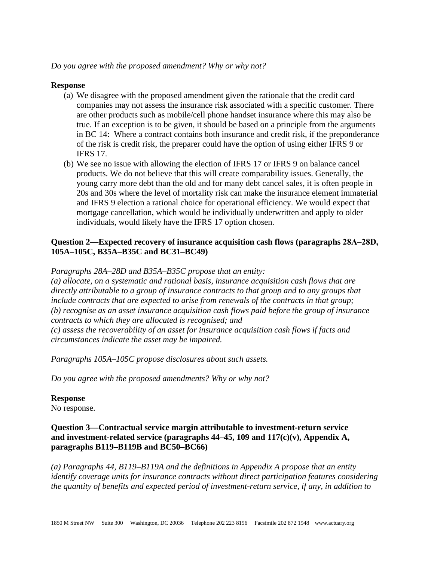### **Response**

- (a) We disagree with the proposed amendment given the rationale that the credit card companies may not assess the insurance risk associated with a specific customer. There are other products such as mobile/cell phone handset insurance where this may also be true. If an exception is to be given, it should be based on a principle from the arguments in BC 14: Where a contract contains both insurance and credit risk, if the preponderance of the risk is credit risk, the preparer could have the option of using either IFRS 9 or IFRS 17.
- (b) We see no issue with allowing the election of IFRS 17 or IFRS 9 on balance cancel products. We do not believe that this will create comparability issues. Generally, the young carry more debt than the old and for many debt cancel sales, it is often people in 20s and 30s where the level of mortality risk can make the insurance element immaterial and IFRS 9 election a rational choice for operational efficiency. We would expect that mortgage cancellation, which would be individually underwritten and apply to older individuals, would likely have the IFRS 17 option chosen.

## Question 2—Expected recovery of insurance acquisition cash flows (paragraphs  $28A-28D$ , **105A–105C, B35A–B35C and BC31–BC49)**

*Paragraphs 28A–28D and B35A–B35C propose that an entity:*

*(a) allocate, on a systematic and rational basis, insurance acquisition cash flows that are directly attributable to a group of insurance contracts to that group and to any groups that include contracts that are expected to arise from renewals of the contracts in that group; (b) recognise as an asset insurance acquisition cash flows paid before the group of insurance contracts to which they are allocated is recognised; and (c) assess the recoverability of an asset for insurance acquisition cash flows if facts and circumstances indicate the asset may be impaired.*

*Paragraphs 105A–105C propose disclosures about such assets.*

*Do you agree with the proposed amendments? Why or why not?*

#### **Response**

No response.

## **Question 3—Contractual service margin attributable to investment-return service and investment-related service (paragraphs 44–45, 109 and 117(c)(v), Appendix A, paragraphs B119–B119B and BC50–BC66)**

*(a) Paragraphs 44, B119–B119A and the definitions in Appendix A propose that an entity identify coverage units for insurance contracts without direct participation features considering the quantity of benefits and expected period of investment-return service, if any, in addition to*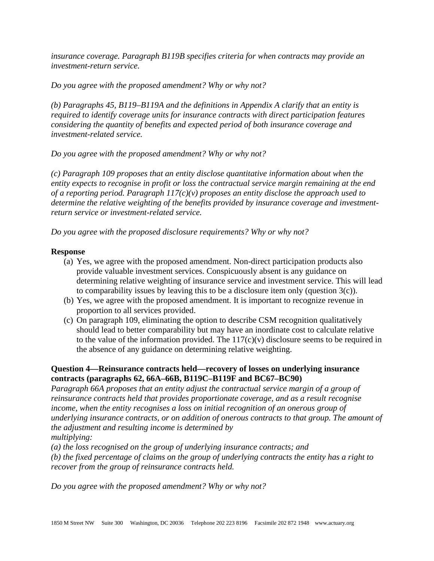*insurance coverage. Paragraph B119B specifies criteria for when contracts may provide an investment-return service.*

*Do you agree with the proposed amendment? Why or why not?*

*(b) Paragraphs 45, B119–B119A and the definitions in Appendix A clarify that an entity is required to identify coverage units for insurance contracts with direct participation features considering the quantity of benefits and expected period of both insurance coverage and investment-related service.*

*Do you agree with the proposed amendment? Why or why not?*

*(c) Paragraph 109 proposes that an entity disclose quantitative information about when the entity expects to recognise in profit or loss the contractual service margin remaining at the end of a reporting period. Paragraph 117(c)(v) proposes an entity disclose the approach used to determine the relative weighting of the benefits provided by insurance coverage and investmentreturn service or investment-related service.*

*Do you agree with the proposed disclosure requirements? Why or why not?*

## **Response**

- (a) Yes, we agree with the proposed amendment. Non-direct participation products also provide valuable investment services. Conspicuously absent is any guidance on determining relative weighting of insurance service and investment service. This will lead to comparability issues by leaving this to be a disclosure item only (question 3(c)).
- (b) Yes, we agree with the proposed amendment. It is important to recognize revenue in proportion to all services provided.
- (c) On paragraph 109, eliminating the option to describe CSM recognition qualitatively should lead to better comparability but may have an inordinate cost to calculate relative to the value of the information provided. The  $117(c)(v)$  disclosure seems to be required in the absence of any guidance on determining relative weighting.

## **Question 4—Reinsurance contracts held—recovery of losses on underlying insurance contracts (paragraphs 62, 66A–66B, B119C–B119F and BC67–BC90)**

*Paragraph 66A proposes that an entity adjust the contractual service margin of a group of reinsurance contracts held that provides proportionate coverage, and as a result recognise income, when the entity recognises a loss on initial recognition of an onerous group of underlying insurance contracts, or on addition of onerous contracts to that group. The amount of the adjustment and resulting income is determined by multiplying:*

*(a) the loss recognised on the group of underlying insurance contracts; and*

*(b) the fixed percentage of claims on the group of underlying contracts the entity has a right to recover from the group of reinsurance contracts held.*

*Do you agree with the proposed amendment? Why or why not?*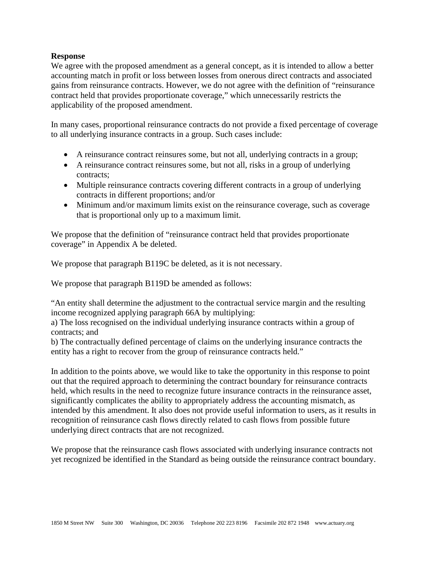### **Response**

We agree with the proposed amendment as a general concept, as it is intended to allow a better accounting match in profit or loss between losses from onerous direct contracts and associated gains from reinsurance contracts. However, we do not agree with the definition of "reinsurance contract held that provides proportionate coverage," which unnecessarily restricts the applicability of the proposed amendment.

In many cases, proportional reinsurance contracts do not provide a fixed percentage of coverage to all underlying insurance contracts in a group. Such cases include:

- A reinsurance contract reinsures some, but not all, underlying contracts in a group;
- A reinsurance contract reinsures some, but not all, risks in a group of underlying contracts;
- Multiple reinsurance contracts covering different contracts in a group of underlying contracts in different proportions; and/or
- Minimum and/or maximum limits exist on the reinsurance coverage, such as coverage that is proportional only up to a maximum limit.

We propose that the definition of "reinsurance contract held that provides proportionate coverage" in Appendix A be deleted.

We propose that paragraph B119C be deleted, as it is not necessary.

We propose that paragraph B119D be amended as follows:

"An entity shall determine the adjustment to the contractual service margin and the resulting income recognized applying paragraph 66A by multiplying:

a) The loss recognised on the individual underlying insurance contracts within a group of contracts; and

b) The contractually defined percentage of claims on the underlying insurance contracts the entity has a right to recover from the group of reinsurance contracts held."

In addition to the points above, we would like to take the opportunity in this response to point out that the required approach to determining the contract boundary for reinsurance contracts held, which results in the need to recognize future insurance contracts in the reinsurance asset, significantly complicates the ability to appropriately address the accounting mismatch, as intended by this amendment. It also does not provide useful information to users, as it results in recognition of reinsurance cash flows directly related to cash flows from possible future underlying direct contracts that are not recognized.

We propose that the reinsurance cash flows associated with underlying insurance contracts not yet recognized be identified in the Standard as being outside the reinsurance contract boundary.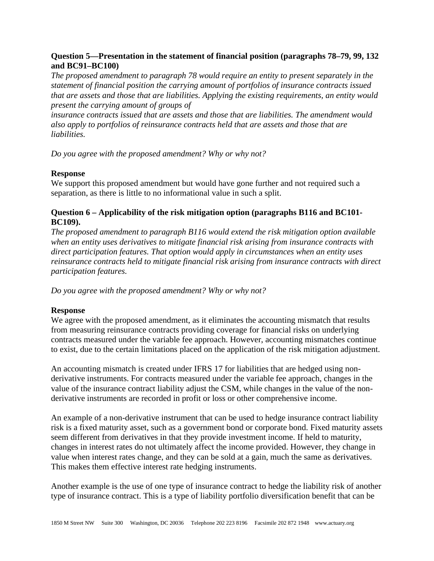## **Question 5—Presentation in the statement of financial position (paragraphs 78–79, 99, 132 and BC91–BC100)**

*The proposed amendment to paragraph 78 would require an entity to present separately in the statement of financial position the carrying amount of portfolios of insurance contracts issued that are assets and those that are liabilities. Applying the existing requirements, an entity would present the carrying amount of groups of*

*insurance contracts issued that are assets and those that are liabilities. The amendment would also apply to portfolios of reinsurance contracts held that are assets and those that are liabilities.*

*Do you agree with the proposed amendment? Why or why not?*

### **Response**

We support this proposed amendment but would have gone further and not required such a separation, as there is little to no informational value in such a split.

## **Question 6 – Applicability of the risk mitigation option (paragraphs B116 and BC101- BC109).**

*The proposed amendment to paragraph B116 would extend the risk mitigation option available when an entity uses derivatives to mitigate financial risk arising from insurance contracts with direct participation features. That option would apply in circumstances when an entity uses reinsurance contracts held to mitigate financial risk arising from insurance contracts with direct participation features.* 

*Do you agree with the proposed amendment? Why or why not?*

## **Response**

We agree with the proposed amendment, as it eliminates the accounting mismatch that results from measuring reinsurance contracts providing coverage for financial risks on underlying contracts measured under the variable fee approach. However, accounting mismatches continue to exist, due to the certain limitations placed on the application of the risk mitigation adjustment.

An accounting mismatch is created under IFRS 17 for liabilities that are hedged using nonderivative instruments. For contracts measured under the variable fee approach, changes in the value of the insurance contract liability adjust the CSM, while changes in the value of the nonderivative instruments are recorded in profit or loss or other comprehensive income.

An example of a non-derivative instrument that can be used to hedge insurance contract liability risk is a fixed maturity asset, such as a government bond or corporate bond. Fixed maturity assets seem different from derivatives in that they provide investment income. If held to maturity, changes in interest rates do not ultimately affect the income provided. However, they change in value when interest rates change, and they can be sold at a gain, much the same as derivatives. This makes them effective interest rate hedging instruments.

Another example is the use of one type of insurance contract to hedge the liability risk of another type of insurance contract. This is a type of liability portfolio diversification benefit that can be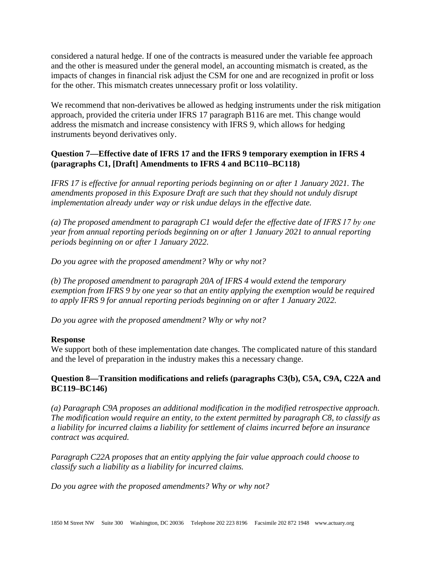considered a natural hedge. If one of the contracts is measured under the variable fee approach and the other is measured under the general model, an accounting mismatch is created, as the impacts of changes in financial risk adjust the CSM for one and are recognized in profit or loss for the other. This mismatch creates unnecessary profit or loss volatility.

We recommend that non-derivatives be allowed as hedging instruments under the risk mitigation approach, provided the criteria under IFRS 17 paragraph B116 are met. This change would address the mismatch and increase consistency with IFRS 9, which allows for hedging instruments beyond derivatives only.

# **Question 7—Effective date of IFRS 17 and the IFRS 9 temporary exemption in IFRS 4 (paragraphs C1, [Draft] Amendments to IFRS 4 and BC110–BC118)**

*IFRS 17 is effective for annual reporting periods beginning on or after 1 January 2021. The amendments proposed in this Exposure Draft are such that they should not unduly disrupt implementation already under way or risk undue delays in the effective date.*

*(a) The proposed amendment to paragraph C1 would defer the effective date of IFRS 17 by one year from annual reporting periods beginning on or after 1 January 2021 to annual reporting periods beginning on or after 1 January 2022.*

*Do you agree with the proposed amendment? Why or why not?*

*(b) The proposed amendment to paragraph 20A of IFRS 4 would extend the temporary exemption from IFRS 9 by one year so that an entity applying the exemption would be required to apply IFRS 9 for annual reporting periods beginning on or after 1 January 2022.*

*Do you agree with the proposed amendment? Why or why not?*

## **Response**

We support both of these implementation date changes. The complicated nature of this standard and the level of preparation in the industry makes this a necessary change.

## **Question 8—Transition modifications and reliefs (paragraphs C3(b), C5A, C9A, C22A and BC119–BC146)**

*(a) Paragraph C9A proposes an additional modification in the modified retrospective approach. The modification would require an entity, to the extent permitted by paragraph C8, to classify as a liability for incurred claims a liability for settlement of claims incurred before an insurance contract was acquired.*

*Paragraph C22A proposes that an entity applying the fair value approach could choose to classify such a liability as a liability for incurred claims.*

*Do you agree with the proposed amendments? Why or why not?*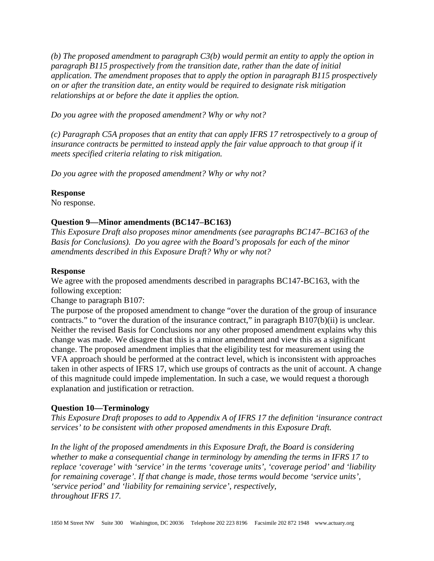*(b) The proposed amendment to paragraph C3(b) would permit an entity to apply the option in paragraph B115 prospectively from the transition date, rather than the date of initial application. The amendment proposes that to apply the option in paragraph B115 prospectively on or after the transition date, an entity would be required to designate risk mitigation relationships at or before the date it applies the option.*

*Do you agree with the proposed amendment? Why or why not?*

*(c) Paragraph C5A proposes that an entity that can apply IFRS 17 retrospectively to a group of insurance contracts be permitted to instead apply the fair value approach to that group if it meets specified criteria relating to risk mitigation.*

*Do you agree with the proposed amendment? Why or why not?*

### **Response**

No response.

### **Question 9—Minor amendments (BC147–BC163)**

*This Exposure Draft also proposes minor amendments (see paragraphs BC147–BC163 of the Basis for Conclusions). Do you agree with the Board's proposals for each of the minor amendments described in this Exposure Draft? Why or why not?*

#### **Response**

We agree with the proposed amendments described in paragraphs BC147-BC163, with the following exception:

Change to paragraph B107:

The purpose of the proposed amendment to change "over the duration of the group of insurance contracts." to "over the duration of the insurance contract," in paragraph B107(b)(ii) is unclear. Neither the revised Basis for Conclusions nor any other proposed amendment explains why this change was made. We disagree that this is a minor amendment and view this as a significant change. The proposed amendment implies that the eligibility test for measurement using the VFA approach should be performed at the contract level, which is inconsistent with approaches taken in other aspects of IFRS 17, which use groups of contracts as the unit of account. A change of this magnitude could impede implementation. In such a case, we would request a thorough explanation and justification or retraction.

## **Question 10—Terminology**

*This Exposure Draft proposes to add to Appendix A of IFRS 17 the definition 'insurance contract services' to be consistent with other proposed amendments in this Exposure Draft.*

*In the light of the proposed amendments in this Exposure Draft, the Board is considering*  whether to make a consequential change in terminology by amending the terms in IFRS 17 to *replace 'coverage' with 'service' in the terms 'coverage units', 'coverage period' and 'liability for remaining coverage'. If that change is made, those terms would become 'service units', 'service period' and 'liability for remaining service', respectively, throughout IFRS 17.*